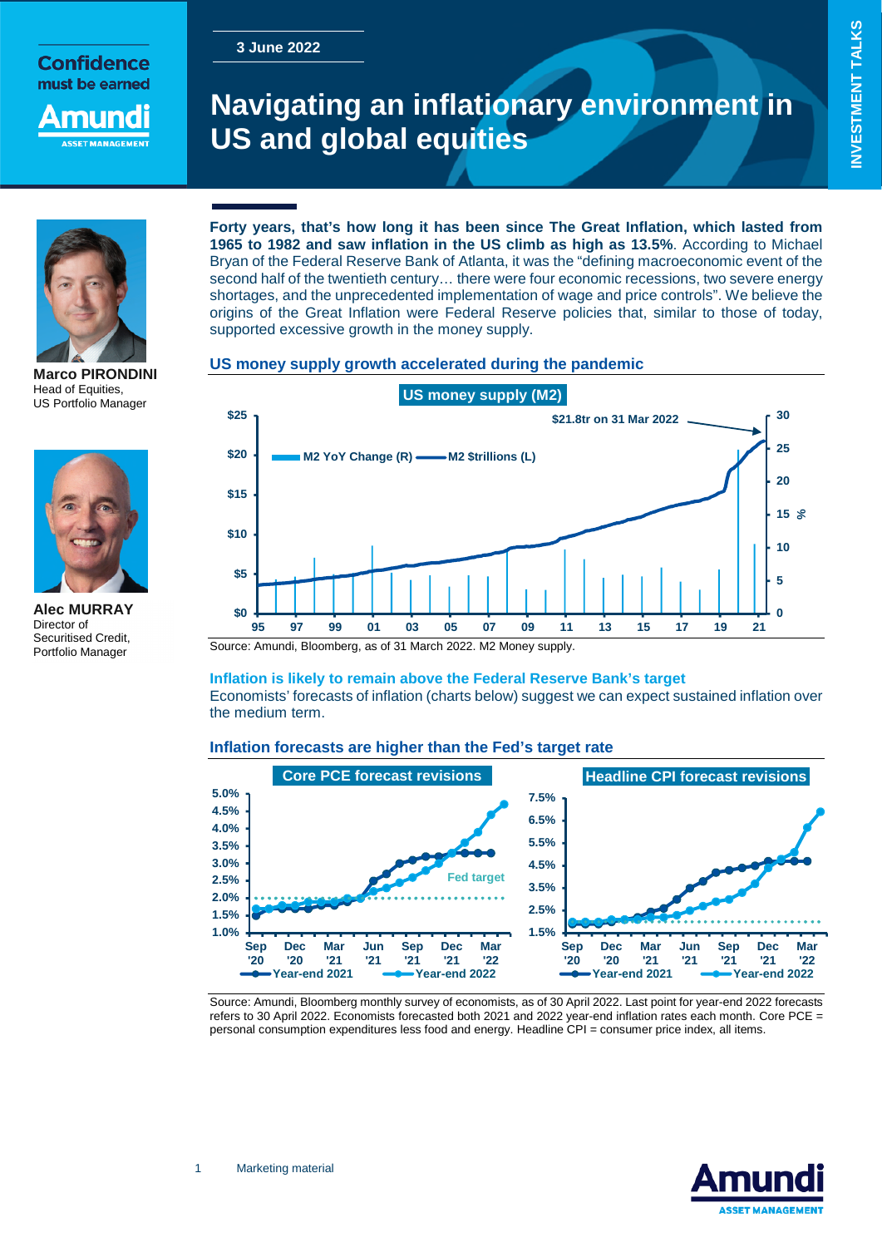# **3 June 2022**

**Confidence** must be earned

nuno

# **Navigating an inflationary environment in US and global equities**



**Marco PIRONDINI**  Head of Equities, US Portfolio Manager



**Alec MURRAY**  Director of Securitised Credit, Portfolio Manager

# **Forty years, that's how long it has been since The Great Inflation, which lasted from 1965 to 1982 and saw inflation in the US climb as high as 13.5%**. According to Michael Bryan of the Federal Reserve Bank of Atlanta, it was the "defining macroeconomic event of the second half of the twentieth century… there were four economic recessions, two severe energy shortages, and the unprecedented implementation of wage and price controls". We believe the origins of the Great Inflation were Federal Reserve policies that, similar to those of today,

# **US money supply growth accelerated during the pandemic**

supported excessive growth in the money supply.



Source: Amundi, Bloomberg, as of 31 March 2022. M2 Money supply.

# **Inflation is likely to remain above the Federal Reserve Bank's target**

Economists' forecasts of inflation (charts below) suggest we can expect sustained inflation over the medium term.

# **Inflation forecasts are higher than the Fed's target rate**



Source: Amundi, Bloomberg monthly survey of economists, as of 30 April 2022. Last point for year-end 2022 forecasts refers to 30 April 2022. Economists forecasted both 2021 and 2022 year-end inflation rates each month. Core PCE = personal consumption expenditures less food and energy. Headline CPI = consumer price index, all items.

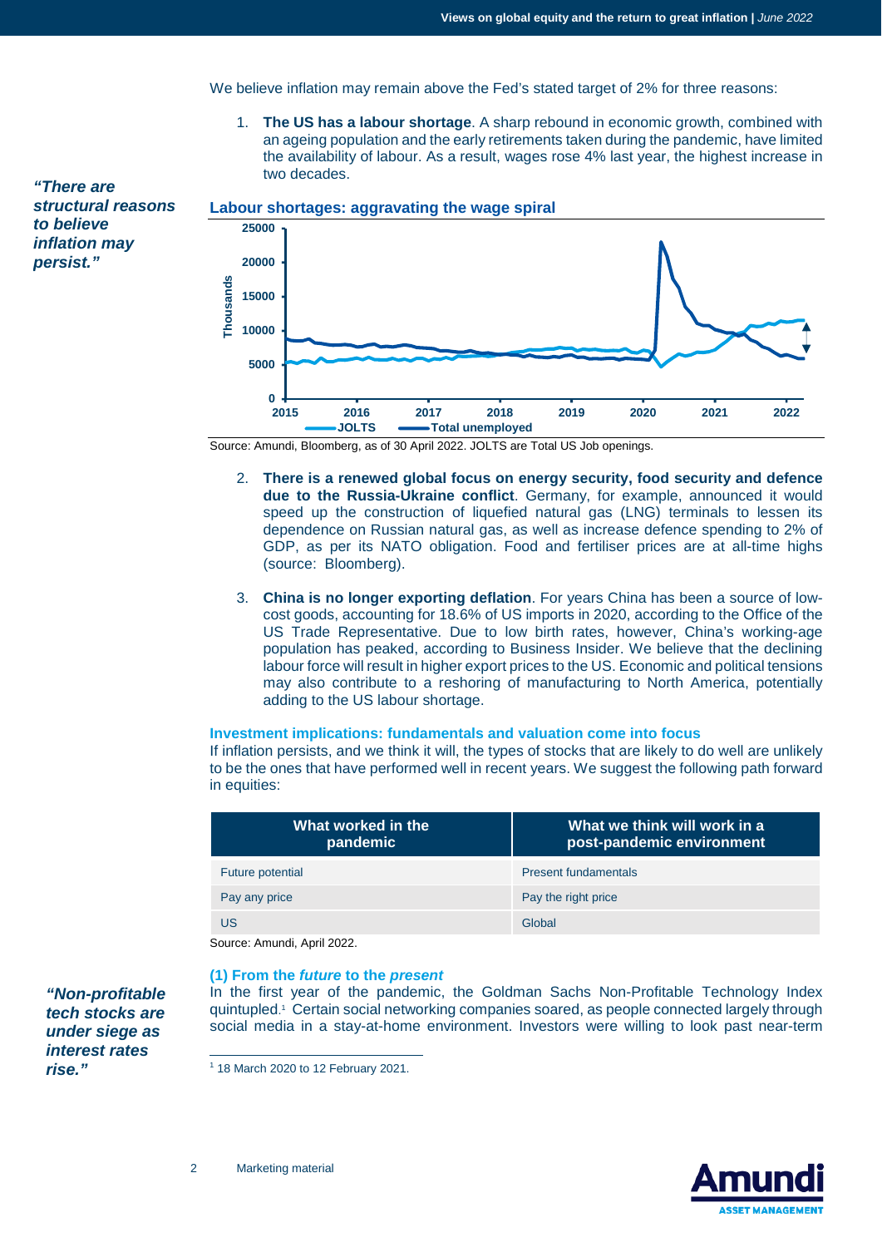We believe inflation may remain above the Fed's stated target of 2% for three reasons:

1. **The US has a labour shortage**. A sharp rebound in economic growth, combined with an ageing population and the early retirements taken during the pandemic, have limited the availability of labour. As a result, wages rose 4% last year, the highest increase in two decades.

*"There are structural reasons to believe inflation may persist."*



Source: Amundi, Bloomberg, as of 30 April 2022. JOLTS are Total US Job openings.

- 2. **There is a renewed global focus on energy security, food security and defence due to the Russia-Ukraine conflict**. Germany, for example, announced it would speed up the construction of liquefied natural gas (LNG) terminals to lessen its dependence on Russian natural gas, as well as increase defence spending to 2% of GDP, as per its NATO obligation. Food and fertiliser prices are at all-time highs (source: Bloomberg).
- 3. **China is no longer exporting deflation**. For years China has been a source of lowcost goods, accounting for 18.6% of US imports in 2020, according to the Office of the US Trade Representative. Due to low birth rates, however, China's working-age population has peaked, according to Business Insider. We believe that the declining labour force will result in higher export prices to the US. Economic and political tensions may also contribute to a reshoring of manufacturing to North America, potentially adding to the US labour shortage.

#### **Investment implications: fundamentals and valuation come into focus**

If inflation persists, and we think it will, the types of stocks that are likely to do well are unlikely to be the ones that have performed well in recent years. We suggest the following path forward in equities:

| What worked in the<br>pandemic | What we think will work in a<br>post-pandemic environment |
|--------------------------------|-----------------------------------------------------------|
| Future potential               | <b>Present fundamentals</b>                               |
| Pay any price                  | Pay the right price                                       |
| US                             | Global                                                    |

Source: Amundi, April 2022.

#### **(1) From the** *future* **to the** *present*

In the first year of the pandemic, the Goldman Sachs Non-Profitable Technology Index quintupled. 1 Certain social networking companies soared, as people connected largely through social media in a stay-at-home environment. Investors were willing to look past near-term

<span id="page-1-0"></span>1 18 March 2020 to 12 February 2021.



*"Non-profitable tech stocks are under siege as interest rates rise."*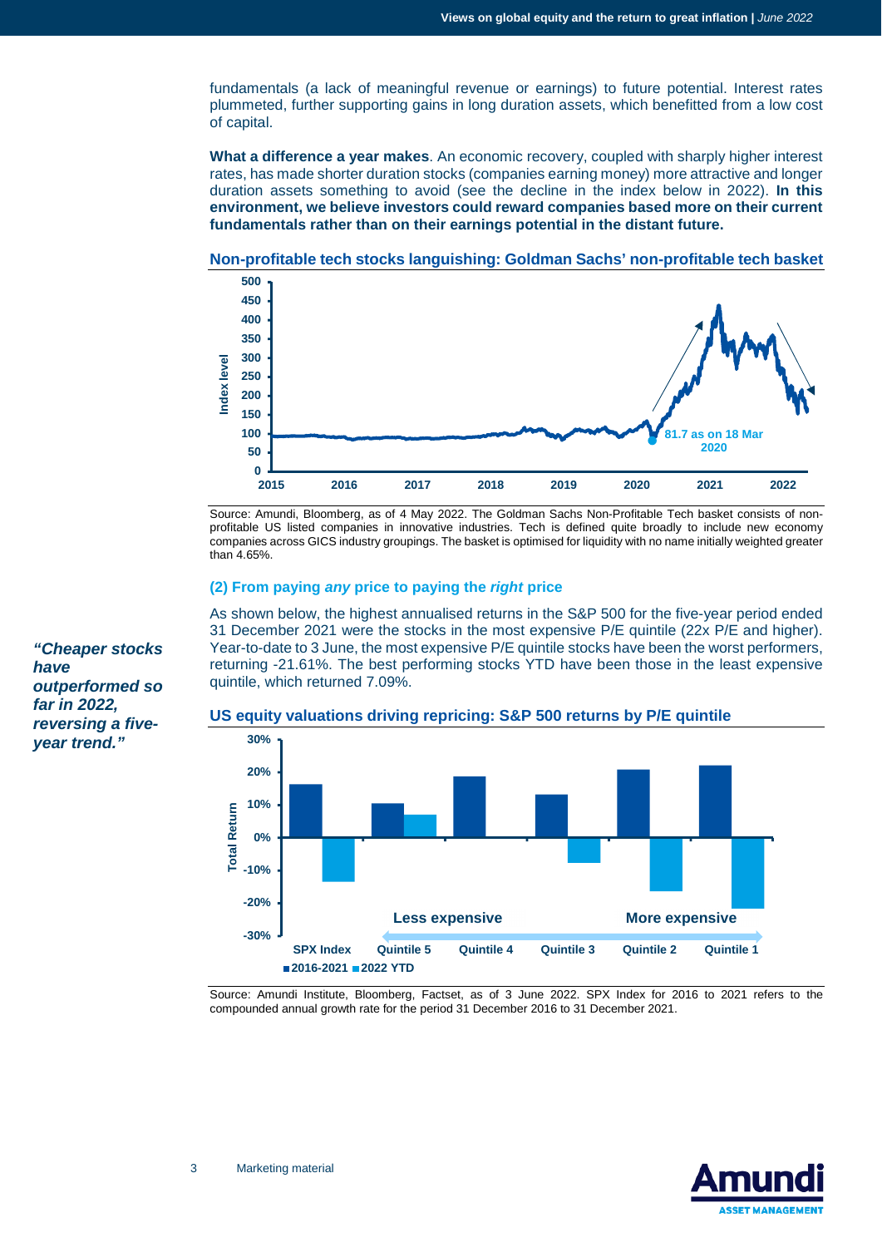fundamentals (a lack of meaningful revenue or earnings) to future potential. Interest rates plummeted, further supporting gains in long duration assets, which benefitted from a low cost of capital.

**What a difference a year makes**. An economic recovery, coupled with sharply higher interest rates, has made shorter duration stocks (companies earning money) more attractive and longer duration assets something to avoid (see the decline in the index below in 2022). **In this environment, we believe investors could reward companies based more on their current fundamentals rather than on their earnings potential in the distant future.**





Source: Amundi, Bloomberg, as of 4 May 2022. The Goldman Sachs Non-Profitable Tech basket consists of nonprofitable US listed companies in innovative industries. Tech is defined quite broadly to include new economy companies across GICS industry groupings. The basket is optimised for liquidity with no name initially weighted greater than 4.65%.

#### **(2) From paying** *any* **price to paying the** *right* **price**

As shown below, the highest annualised returns in the S&P 500 for the five-year period ended 31 December 2021 were the stocks in the most expensive P/E quintile (22x P/E and higher). Year-to-date to 3 June, the most expensive P/E quintile stocks have been the worst performers, returning -21.61%. The best performing stocks YTD have been those in the least expensive quintile, which returned 7.09%.



**US equity valuations driving repricing: S&P 500 returns by P/E quintile** 

Source: Amundi Institute, Bloomberg, Factset, as of 3 June 2022. SPX Index for 2016 to 2021 refers to the compounded annual growth rate for the period 31 December 2016 to 31 December 2021.



*"Cheaper stocks have outperformed so far in 2022, reversing a fiveyear trend."*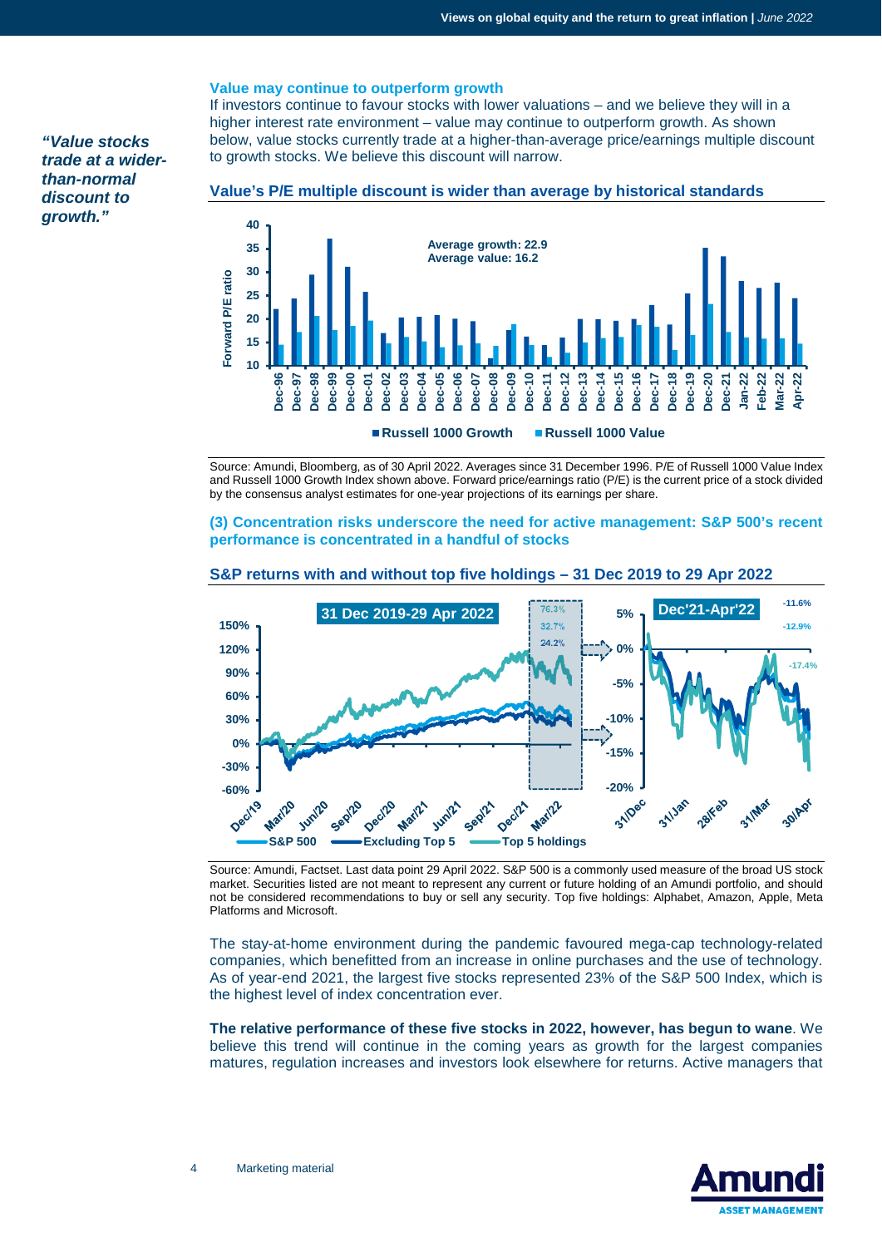## **Value may continue to outperform growth**

If investors continue to favour stocks with lower valuations – and we believe they will in a higher interest rate environment – value may continue to outperform growth. As shown below, value stocks currently trade at a higher-than-average price/earnings multiple discount to growth stocks. We believe this discount will narrow.

*"Value stocks trade at a widerthan-normal discount to growth."* 

### **Value's P/E multiple discount is wider than average by historical standards**



Source: Amundi, Bloomberg, as of 30 April 2022. Averages since 31 December 1996. P/E of Russell 1000 Value Index and Russell 1000 Growth Index shown above. Forward price/earnings ratio (P/E) is the current price of a stock divided by the consensus analyst estimates for one-year projections of its earnings per share.

### **(3) Concentration risks underscore the need for active management: S&P 500's recent performance is concentrated in a handful of stocks**



# **S&P returns with and without top five holdings – 31 Dec 2019 to 29 Apr 2022**

Source: Amundi, Factset. Last data point 29 April 2022. S&P 500 is a commonly used measure of the broad US stock market. Securities listed are not meant to represent any current or future holding of an Amundi portfolio, and should not be considered recommendations to buy or sell any security. Top five holdings: Alphabet, Amazon, Apple, Meta Platforms and Microsoft.

The stay-at-home environment during the pandemic favoured mega-cap technology-related companies, which benefitted from an increase in online purchases and the use of technology. As of year-end 2021, the largest five stocks represented 23% of the S&P 500 Index, which is the highest level of index concentration ever.

**The relative performance of these five stocks in 2022, however, has begun to wane**. We believe this trend will continue in the coming years as growth for the largest companies matures, regulation increases and investors look elsewhere for returns. Active managers that

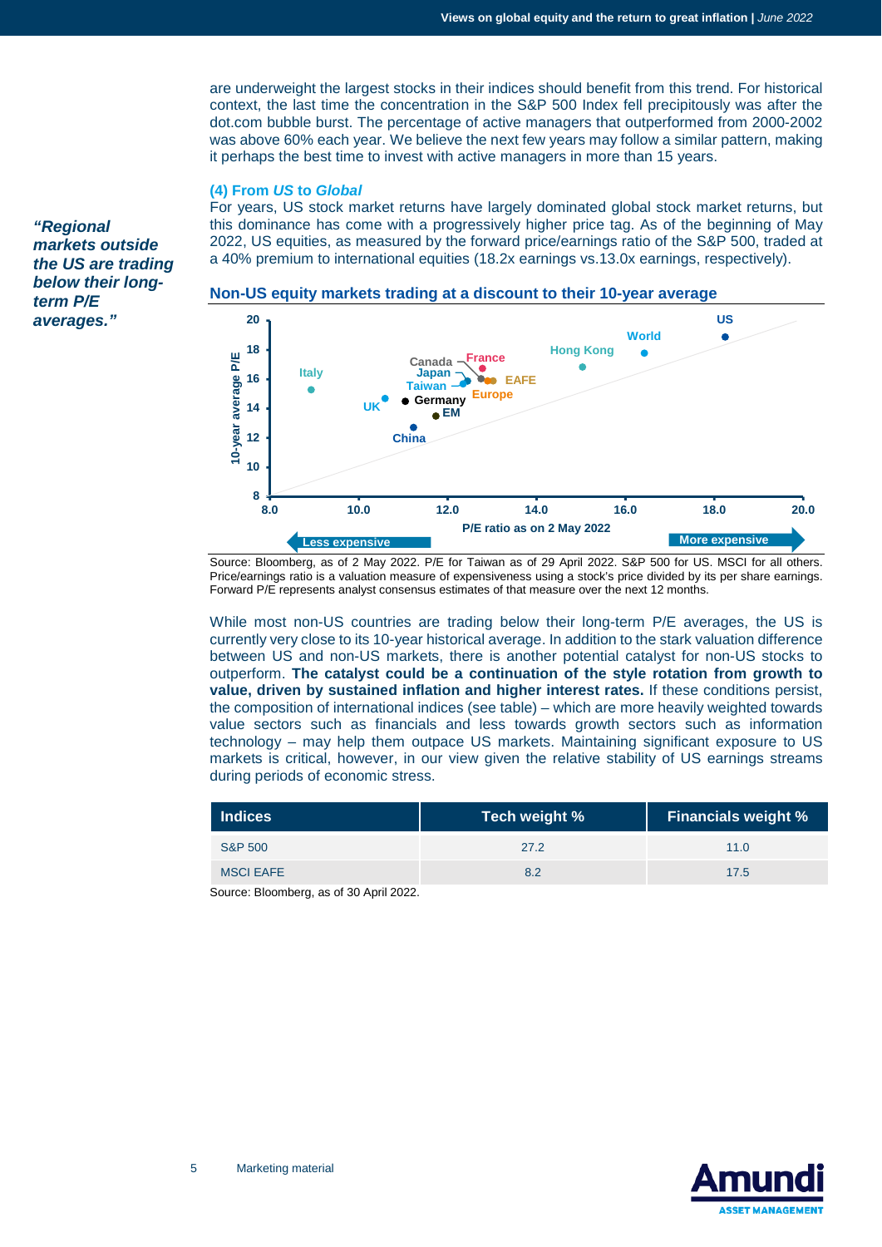are underweight the largest stocks in their indices should benefit from this trend. For historical context, the last time the concentration in the S&P 500 Index fell precipitously was after the dot.com bubble burst. The percentage of active managers that outperformed from 2000-2002 was above 60% each year. We believe the next few years may follow a similar pattern, making it perhaps the best time to invest with active managers in more than 15 years.

#### **(4) From** *US* **to** *Global*

For years, US stock market returns have largely dominated global stock market returns, but this dominance has come with a progressively higher price tag. As of the beginning of May 2022, US equities, as measured by the forward price/earnings ratio of the S&P 500, traded at a 40% premium to international equities (18.2x earnings vs.13.0x earnings, respectively).

*"Regional markets outside the US are trading below their longterm P/E averages."* 

#### **Non-US equity markets trading at a discount to their 10-year average**



Source: Bloomberg, as of 2 May 2022. P/E for Taiwan as of 29 April 2022. S&P 500 for US. MSCI for all others. Price/earnings ratio is a valuation measure of expensiveness using a stock's price divided by its per share earnings. Forward P/E represents analyst consensus estimates of that measure over the next 12 months.

While most non-US countries are trading below their long-term P/E averages, the US is currently very close to its 10-year historical average. In addition to the stark valuation difference between US and non-US markets, there is another potential catalyst for non-US stocks to outperform. **The catalyst could be a continuation of the style rotation from growth to value, driven by sustained inflation and higher interest rates.** If these conditions persist, the composition of international indices (see table) – which are more heavily weighted towards value sectors such as financials and less towards growth sectors such as information technology – may help them outpace US markets. Maintaining significant exposure to US markets is critical, however, in our view given the relative stability of US earnings streams during periods of economic stress.

| Indices            | Tech weight % | <b>Financials weight %</b> |
|--------------------|---------------|----------------------------|
| <b>S&amp;P 500</b> | 27.2          | 11.0                       |
| <b>MSCI EAFE</b>   | 8.2           | 17.5                       |

Source: Bloomberg, as of 30 April 2022.